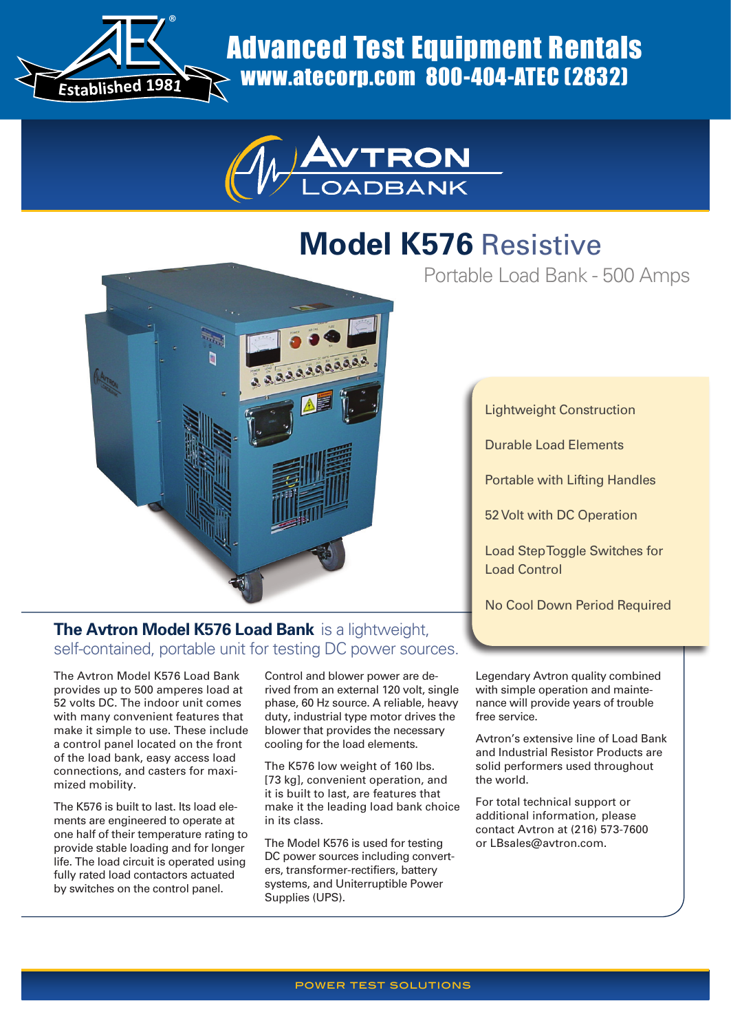

Advanced Test Equipment Rentals www.atecorp.com 800-404-ATEC (2832)



# **Model K576** Resistive

Portable Load Bank - 500 Amps



Lightweight Construction

Durable Load Elements

Portable with Lifting Handles

52 Volt with DC Operation

Load Step Toggle Switches for Load Control

No Cool Down Period Required

## **The Avtron Model K576 Load Bank** is a lightweight, self-contained, portable unit for testing DC power sources.

The Avtron Model K576 Load Bank provides up to 500 amperes load at 52 volts DC. The indoor unit comes with many convenient features that make it simple to use. These include a control panel located on the front of the load bank, easy access load connections, and casters for maximized mobility.

The K576 is built to last. Its load elements are engineered to operate at one half of their temperature rating to provide stable loading and for longer life. The load circuit is operated using fully rated load contactors actuated by switches on the control panel.

Control and blower power are derived from an external 120 volt, single phase, 60 Hz source. A reliable, heavy duty, industrial type motor drives the blower that provides the necessary cooling for the load elements.

The K576 low weight of 160 lbs. [73 kg], convenient operation, and it is built to last, are features that make it the leading load bank choice in its class.

The Model K576 is used for testing DC power sources including converters, transformer-rectifiers, battery systems, and Uniterruptible Power Supplies (UPS).

Legendary Avtron quality combined with simple operation and maintenance will provide years of trouble free service.

Avtron's extensive line of Load Bank and Industrial Resistor Products are solid performers used throughout the world.

For total technical support or additional information, please contact Avtron at (216) 573-7600 or LBsales@avtron.com.